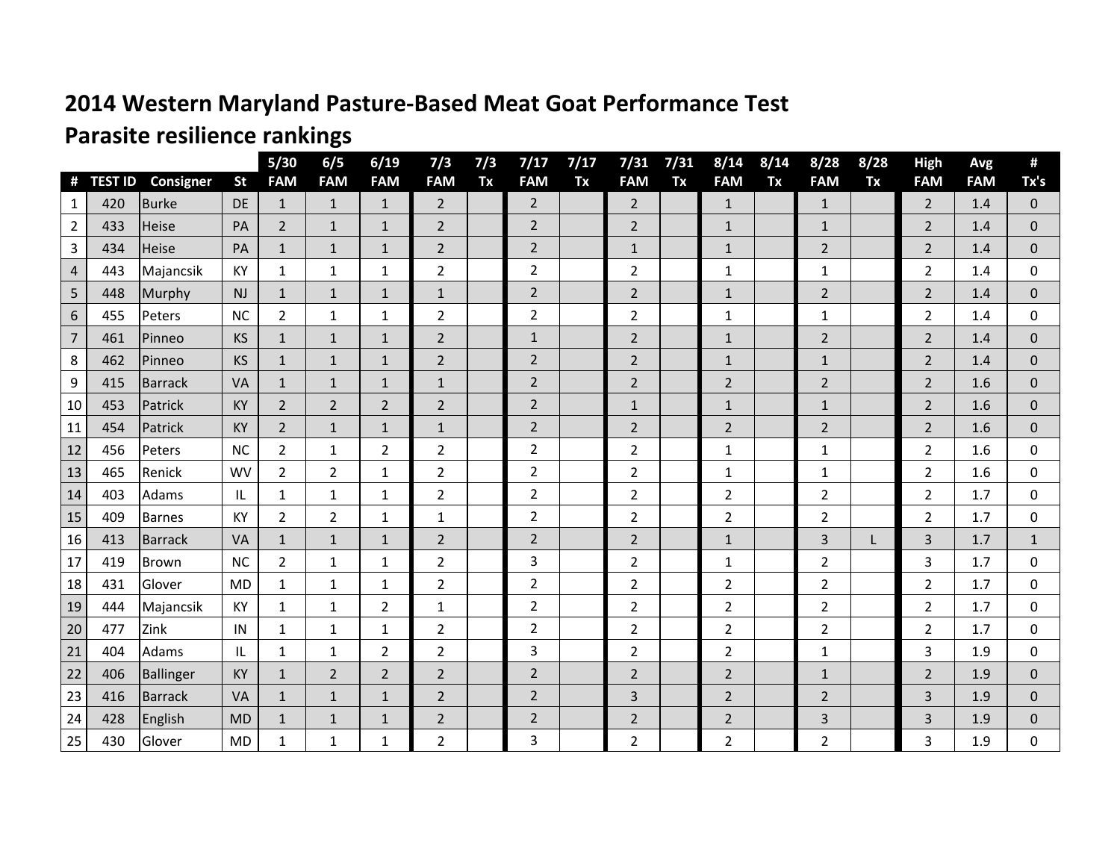## **2014 Western Maryland Pasture-Based Meat Goat Performance Test**

## **Parasite resilience rankings**

|                |                       |                           |                        | 5/30                       | 6/5                        | 6/19                       | 7/3                          | 7/3 | 7/17            | 7/17 | 7/31                         | 7/31 | 8/14                       | 8/14 | 8/28                       | 8/28 | <b>High</b><br><b>FAM</b> | Avg<br><b>FAM</b> | #<br>Tx's      |
|----------------|-----------------------|---------------------------|------------------------|----------------------------|----------------------------|----------------------------|------------------------------|-----|-----------------|------|------------------------------|------|----------------------------|------|----------------------------|------|---------------------------|-------------------|----------------|
| #<br>1         | <b>TEST ID</b><br>420 | Consigner<br><b>Burke</b> | <b>St</b><br><b>DE</b> | <b>FAM</b><br>$\mathbf{1}$ | <b>FAM</b><br>$\mathbf{1}$ | <b>FAM</b><br>$\mathbf{1}$ | <b>FAM</b><br>$\overline{2}$ | Tx  | <b>FAM</b><br>2 | Tx   | <b>FAM</b><br>$\overline{2}$ | Tx   | <b>FAM</b><br>$\mathbf{1}$ | Tx   | <b>FAM</b><br>$\mathbf{1}$ | Tx   | $\overline{2}$            | 1.4               | $\Omega$       |
| 2              | 433                   | Heise                     | PA                     | $\overline{2}$             | $1\,$                      | $\mathbf{1}$               | $\overline{2}$               |     | $\overline{2}$  |      | $\overline{2}$               |      | $\mathbf{1}$               |      | $\mathbf{1}$               |      | $\overline{2}$            | 1.4               | $\Omega$       |
| 3              | 434                   | Heise                     | PA                     | $\mathbf{1}$               | $\mathbf{1}$               | $\mathbf{1}$               | $\overline{2}$               |     | $\overline{2}$  |      | $\mathbf{1}$                 |      | $\mathbf{1}$               |      | $\overline{2}$             |      | $\overline{2}$            | 1.4               | $\Omega$       |
| 4              | 443                   | Majancsik                 | KY                     | $\mathbf{1}$               | $\mathbf 1$                | $\mathbf{1}$               | $\overline{2}$               |     | $\overline{2}$  |      | $\overline{2}$               |      | $\mathbf{1}$               |      | $\mathbf{1}$               |      | $\overline{2}$            | 1.4               | $\Omega$       |
| 5              | 448                   | Murphy                    | NJ                     | $\mathbf{1}$               | $\mathbf{1}$               | $\mathbf{1}$               | $\mathbf{1}$                 |     | $\overline{2}$  |      | $\overline{2}$               |      | $\mathbf{1}$               |      | 2                          |      | 2                         | 1.4               | $\Omega$       |
| $6\phantom{.}$ | 455                   | Peters                    | <b>NC</b>              | $\overline{2}$             | $\mathbf 1$                | $\mathbf{1}$               | $\overline{2}$               |     | $\overline{2}$  |      | $\overline{2}$               |      | $\mathbf{1}$               |      | $\mathbf{1}$               |      | 2                         | 1.4               | $\Omega$       |
| $\overline{7}$ | 461                   | Pinneo                    | <b>KS</b>              | 1                          | $\mathbf{1}$               | $\mathbf{1}$               | $\overline{2}$               |     | $\mathbf{1}$    |      | $\overline{2}$               |      | $\mathbf{1}$               |      | $\overline{2}$             |      | 2                         | 1.4               | $\mathbf{0}$   |
| 8              | 462                   | Pinneo                    | KS                     | $\mathbf{1}$               | $\mathbf 1$                | $\mathbf{1}$               | $\overline{2}$               |     | $\overline{2}$  |      | $\overline{2}$               |      | $\mathbf{1}$               |      | $\mathbf{1}$               |      | $\overline{2}$            | 1.4               | $\Omega$       |
| 9              | 415                   | <b>Barrack</b>            | <b>VA</b>              | $\mathbf{1}$               | $\mathbf{1}$               | $\mathbf{1}$               | $\mathbf{1}$                 |     | $\overline{2}$  |      | $\overline{2}$               |      | $\overline{2}$             |      | $\overline{2}$             |      | 2                         | 1.6               | $\mathbf{0}$   |
| 10             | 453                   | Patrick                   | <b>KY</b>              | $\overline{2}$             | $\overline{2}$             | $\overline{2}$             | $\overline{2}$               |     | $\overline{2}$  |      | $\mathbf{1}$                 |      | $\mathbf{1}$               |      | $\mathbf{1}$               |      | $\overline{2}$            | 1.6               | $\Omega$       |
| 11             | 454                   | Patrick                   | <b>KY</b>              | $\overline{2}$             | $\mathbf{1}$               | $\mathbf{1}$               | $\mathbf{1}$                 |     | $\overline{2}$  |      | $\overline{2}$               |      | $\overline{2}$             |      | $\overline{2}$             |      | 2                         | 1.6               | $\Omega$       |
| 12             | 456                   | Peters                    | <b>NC</b>              | $\overline{2}$             | $\mathbf 1$                | $\overline{2}$             | $\overline{2}$               |     | $\overline{2}$  |      | $\overline{2}$               |      | $\mathbf{1}$               |      | $\mathbf{1}$               |      | $\overline{2}$            | 1.6               | 0              |
| 13             | 465                   | Renick                    | <b>WV</b>              | $\overline{2}$             | $\overline{2}$             | $\mathbf{1}$               | $\overline{2}$               |     | $\overline{2}$  |      | $\overline{2}$               |      | $\mathbf{1}$               |      | $\mathbf{1}$               |      | $\overline{2}$            | 1.6               | $\mathbf{0}$   |
| 14             | 403                   | Adams                     | IL                     | $\mathbf{1}$               | $\mathbf 1$                | 1                          | $\overline{2}$               |     | $\overline{2}$  |      | $\overline{2}$               |      | $\overline{2}$             |      | $\overline{2}$             |      | $\overline{2}$            | 1.7               | $\mathbf{0}$   |
| 15             | 409                   | <b>Barnes</b>             | KY                     | $\overline{2}$             | $\overline{2}$             | $\mathbf{1}$               | $\mathbf{1}$                 |     | $\overline{2}$  |      | $\overline{2}$               |      | $\overline{2}$             |      | $\overline{2}$             |      | 2                         | 1.7               | $\Omega$       |
| 16             | 413                   | <b>Barrack</b>            | <b>VA</b>              | $\mathbf{1}$               | $\mathbf{1}$               | $\mathbf{1}$               | $\overline{2}$               |     | $\overline{2}$  |      | $\overline{2}$               |      | $\mathbf{1}$               |      | 3                          |      | 3                         | 1.7               | $\mathbf{1}$   |
| 17             | 419                   | Brown                     | <b>NC</b>              | $\overline{2}$             | $\mathbf 1$                | 1                          | $\overline{2}$               |     | 3               |      | $\overline{2}$               |      | $\mathbf{1}$               |      | $\overline{2}$             |      | 3                         | 1.7               | $\Omega$       |
| 18             | 431                   | Glover                    | <b>MD</b>              | $\mathbf{1}$               | $\mathbf{1}$               | $\mathbf{1}$               | $\overline{2}$               |     | $\overline{2}$  |      | $\overline{2}$               |      | $\overline{2}$             |      | $\overline{2}$             |      | $\overline{2}$            | 1.7               | $\mathbf 0$    |
| 19             | 444                   | Majancsik                 | KY                     | 1                          | $\mathbf{1}$               | $\overline{2}$             | 1                            |     | $\overline{2}$  |      | $\overline{2}$               |      | $\overline{2}$             |      | $\overline{2}$             |      | $\overline{2}$            | 1.7               | 0              |
| 20             | 477                   | Zink                      | IN                     | 1                          | $\mathbf{1}$               | 1                          | $\overline{2}$               |     | $\mathbf 2$     |      | $\overline{2}$               |      | $\overline{2}$             |      | $\overline{2}$             |      | 2                         | 1.7               | 0              |
| 21             | 404                   | Adams                     | IL                     | $\mathbf{1}$               | $\mathbf 1$                | $\overline{2}$             | $\overline{2}$               |     | $\overline{3}$  |      | $\overline{2}$               |      | $\overline{2}$             |      | $\mathbf{1}$               |      | 3                         | 1.9               | $\Omega$       |
| 22             | 406                   | Ballinger                 | <b>KY</b>              | $\mathbf{1}$               | $\overline{2}$             | $\overline{2}$             | $\overline{2}$               |     | $\overline{2}$  |      | $\overline{2}$               |      | $\overline{2}$             |      | $\mathbf{1}$               |      | $\overline{2}$            | 1.9               | $\overline{0}$ |
| 23             | 416                   | <b>Barrack</b>            | <b>VA</b>              | $\mathbf{1}$               | $\mathbf{1}$               | $\mathbf{1}$               | $\overline{2}$               |     | $\overline{2}$  |      | 3                            |      | $\overline{2}$             |      | $\overline{2}$             |      | 3                         | 1.9               | $\Omega$       |
| 24             | 428                   | English                   | <b>MD</b>              | 1                          | $\mathbf{1}$               | $\mathbf{1}$               | $\overline{2}$               |     | $\overline{2}$  |      | $\overline{2}$               |      | $\overline{2}$             |      | 3                          |      | 3                         | 1.9               | $\mathbf{0}$   |
| 25             | 430                   | Glover                    | <b>MD</b>              | $\mathbf{1}$               | $\mathbf{1}$               | $\mathbf{1}$               | $\overline{2}$               |     | 3               |      | $\overline{2}$               |      | $\overline{2}$             |      | $\overline{2}$             |      | 3                         | 1.9               | 0              |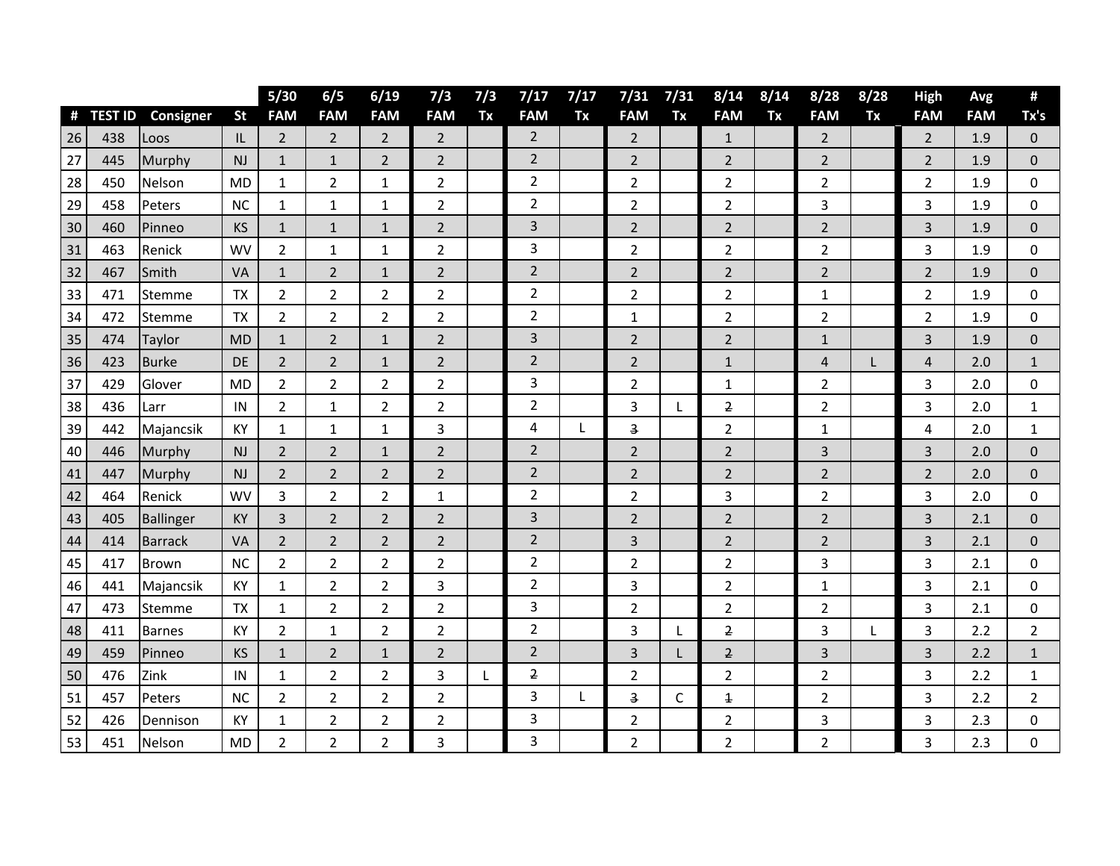|    |                |                |           | $5/30$         | 6/5            | 6/19           | 7/3                     | 7/3 | 7/17           | 7/17 | 7/31                    | 7/31        | 8/14                    | 8/14 | 8/28           | 8/28 | High           | Avg        | Ħ                |
|----|----------------|----------------|-----------|----------------|----------------|----------------|-------------------------|-----|----------------|------|-------------------------|-------------|-------------------------|------|----------------|------|----------------|------------|------------------|
| #  | <b>TEST ID</b> | Consigner      | <b>St</b> | <b>FAM</b>     | <b>FAM</b>     | <b>FAM</b>     | <b>FAM</b>              | Tx  | <b>FAM</b>     | Tx   | <b>FAM</b>              | Tx          | <b>FAM</b>              | Tx   | <b>FAM</b>     | Tx   | <b>FAM</b>     | <b>FAM</b> | Tx's             |
| 26 | 438            | Loos           | IL        | $\overline{2}$ | $\overline{2}$ | $\overline{2}$ | $\overline{2}$          |     | $\overline{2}$ |      | $\overline{2}$          |             | $\mathbf{1}$            |      | $\overline{2}$ |      | $\overline{2}$ | 1.9        | $\mathbf 0$      |
| 27 | 445            | Murphy         | NJ        | $\mathbf{1}$   | $\mathbf{1}$   | $\overline{2}$ | $\overline{2}$          |     | $\overline{2}$ |      | $\overline{2}$          |             | $\overline{2}$          |      | $\overline{2}$ |      | 2              | 1.9        | $\mathbf 0$      |
| 28 | 450            | Nelson         | <b>MD</b> | $\mathbf 1$    | $\overline{2}$ | $\mathbf 1$    | $\overline{2}$          |     | $\overline{2}$ |      | $\overline{2}$          |             | $\overline{2}$          |      | $\overline{2}$ |      | $\overline{2}$ | 1.9        | $\mathbf 0$      |
| 29 | 458            | Peters         | <b>NC</b> | 1              | $\mathbf 1$    | $\mathbf{1}$   | $\overline{2}$          |     | $\overline{2}$ |      | $\overline{2}$          |             | 2                       |      | 3              |      | 3              | 1.9        | 0                |
| 30 | 460            | Pinneo         | <b>KS</b> | $\mathbf{1}$   | $\mathbf{1}$   | $\mathbf{1}$   | $\overline{2}$          |     | 3              |      | $\overline{2}$          |             | 2                       |      | $\overline{2}$ |      | 3              | 1.9        | $\overline{0}$   |
| 31 | 463            | Renick         | <b>WV</b> | $\overline{2}$ | $\mathbf{1}$   | $1\,$          | $\overline{2}$          |     | 3              |      | $\overline{2}$          |             | $\overline{2}$          |      | $\overline{2}$ |      | 3              | 1.9        | 0                |
| 32 | 467            | Smith          | VA        | $\mathbf{1}$   | $\overline{2}$ | $\mathbf{1}$   | $\overline{2}$          |     | $\overline{2}$ |      | $\overline{2}$          |             | $\overline{2}$          |      | $\overline{2}$ |      | $\overline{2}$ | 1.9        | $\Omega$         |
| 33 | 471            | Stemme         | <b>TX</b> | $\overline{2}$ | $\overline{2}$ | $\overline{2}$ | $\overline{2}$          |     | $\overline{2}$ |      | $\overline{2}$          |             | 2                       |      | 1              |      | 2              | 1.9        | $\mathbf 0$      |
| 34 | 472            | Stemme         | <b>TX</b> | $\overline{2}$ | $\overline{2}$ | $\overline{2}$ | $\overline{2}$          |     | $\overline{2}$ |      | $\mathbf{1}$            |             | 2                       |      | 2              |      | $\overline{2}$ | 1.9        | 0                |
| 35 | 474            | Taylor         | <b>MD</b> | $\mathbf 1$    | $\overline{2}$ | $\mathbf{1}$   | $\overline{2}$          |     | $\mathbf{3}$   |      | $\overline{2}$          |             | 2                       |      | 1              |      | 3              | 1.9        | $\mathbf 0$      |
| 36 | 423            | <b>Burke</b>   | DE        | $\overline{2}$ | $\overline{2}$ | $\mathbf{1}$   | $\overline{2}$          |     | $\overline{2}$ |      | $\overline{2}$          |             | $\mathbf{1}$            |      | 4              | L    | $\overline{4}$ | 2.0        | $\mathbf{1}$     |
| 37 | 429            | Glover         | <b>MD</b> | $\overline{2}$ | $\overline{2}$ | $\overline{2}$ | $\overline{2}$          |     | 3              |      | $\overline{2}$          |             | $\mathbf{1}$            |      | $\overline{2}$ |      | 3              | 2.0        | 0                |
| 38 | 436            | Larr           | IN        | $\overline{2}$ | $\mathbf{1}$   | $\overline{2}$ | $\overline{2}$          |     | $\overline{2}$ |      | 3                       | L           | $\overline{2}$          |      | $\overline{2}$ |      | 3              | 2.0        | $\mathbf{1}$     |
| 39 | 442            | Majancsik      | KY        | 1              | $\mathbf{1}$   | $\mathbf{1}$   | 3                       |     | 4              | L    | $\overline{\mathbf{3}}$ |             | $\overline{2}$          |      | 1              |      | 4              | 2.0        | $\mathbf{1}$     |
| 40 | 446            | Murphy         | <b>NJ</b> | $\overline{2}$ | $\overline{2}$ | $\mathbf{1}$   | $\overline{2}$          |     | $\overline{2}$ |      | $\overline{2}$          |             | $\overline{2}$          |      | 3              |      | 3              | 2.0        | $\mathbf 0$      |
| 41 | 447            | Murphy         | <b>NJ</b> | $\overline{2}$ | $\overline{2}$ | $\overline{2}$ | $\overline{2}$          |     | $\overline{2}$ |      | $\overline{2}$          |             | $\overline{2}$          |      | $\overline{2}$ |      | $\overline{2}$ | 2.0        | $\boldsymbol{0}$ |
| 42 | 464            | Renick         | <b>WV</b> | 3              | $\overline{2}$ | $\overline{2}$ | $\mathbf{1}$            |     | $\overline{2}$ |      | $\overline{2}$          |             | 3                       |      | $\overline{2}$ |      | 3              | 2.0        | $\mathbf 0$      |
| 43 | 405            | Ballinger      | <b>KY</b> | 3              | $\overline{2}$ | $\overline{2}$ | $\overline{2}$          |     | $\mathbf{3}$   |      | $\overline{2}$          |             | $\overline{2}$          |      | $\overline{2}$ |      | 3              | 2.1        | $\mathbf 0$      |
| 44 | 414            | <b>Barrack</b> | VA        | $\overline{2}$ | $\overline{2}$ | $\overline{2}$ | $\overline{2}$          |     | $\overline{2}$ |      | 3                       |             | $\overline{2}$          |      | $\overline{2}$ |      | 3              | 2.1        | $\mathbf 0$      |
| 45 | 417            | <b>Brown</b>   | <b>NC</b> | $\overline{2}$ | $\sqrt{2}$     | $\mathbf 2$    | $\overline{2}$          |     | $\overline{2}$ |      | $\overline{2}$          |             | 2                       |      | 3              |      | 3              | 2.1        | $\mathbf 0$      |
| 46 | 441            | Majancsik      | KY        | 1              | $\overline{2}$ | $\overline{2}$ | $\overline{\mathbf{3}}$ |     | $\overline{2}$ |      | 3                       |             | $\overline{2}$          |      | 1              |      | 3              | 2.1        | $\mathbf 0$      |
| 47 | 473            | Stemme         | <b>TX</b> | 1              | $\overline{2}$ | $\overline{2}$ | $\overline{2}$          |     | 3              |      | $\overline{2}$          |             | $\overline{2}$          |      | $\overline{2}$ |      | 3              | 2.1        | $\boldsymbol{0}$ |
| 48 | 411            | <b>Barnes</b>  | KY        | $\overline{2}$ | $\mathbf{1}$   | $\overline{2}$ | $\overline{2}$          |     | $\overline{2}$ |      | 3                       | L           | $\overline{2}$          |      | 3              | L    | 3              | 2.2        | $\overline{2}$   |
| 49 | 459            | Pinneo         | <b>KS</b> | $\mathbf 1$    | $\overline{2}$ | $\mathbf 1$    | $\overline{2}$          |     | $\overline{2}$ |      | 3                       | L.          | $\overline{2}$          |      | 3              |      | 3              | 2.2        | $\mathbf 1$      |
| 50 | 476            | Zink           | IN        | 1              | $\overline{2}$ | $\overline{2}$ | 3                       | L   | 2              |      | $\overline{2}$          |             | 2                       |      | $\overline{2}$ |      | 3              | 2.2        | $\mathbf{1}$     |
| 51 | 457            | Peters         | <b>NC</b> | $\overline{2}$ | $\overline{2}$ | $\overline{2}$ | $\overline{2}$          |     | 3              | L    | 3                       | $\mathsf C$ | $\overline{\mathbf{1}}$ |      | 2              |      | 3              | 2.2        | $\overline{2}$   |
| 52 | 426            | Dennison       | KY        | 1              | $\overline{2}$ | $\overline{2}$ | $\overline{2}$          |     | 3              |      | $\overline{2}$          |             | 2                       |      | 3              |      | 3              | 2.3        | 0                |
| 53 | 451            | Nelson         | <b>MD</b> | $\overline{2}$ | $\overline{2}$ | $\overline{2}$ | 3                       |     | 3              |      | $\overline{2}$          |             | $\overline{2}$          |      | 2              |      | 3              | 2.3        | 0                |